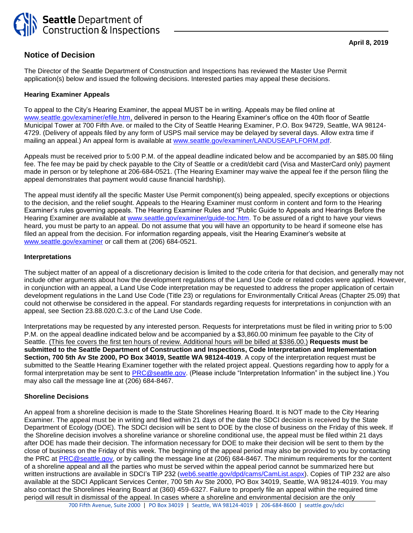

# **Notice of Decision**

The Director of the Seattle Department of Construction and Inspections has reviewed the Master Use Permit application(s) below and issued the following decisions. Interested parties may appeal these decisions.

## **Hearing Examiner Appeals**

To appeal to the City's Hearing Examiner, the appeal MUST be in writing. Appeals may be filed online at [www.seattle.gov/examiner/efile.htm,](http://www.seattle.gov/examiner/efile.htm) delivered in person to the Hearing Examiner's office on the 40th floor of Seattle Municipal Tower at 700 Fifth Ave. or mailed to the City of Seattle Hearing Examiner, P.O. Box 94729, Seattle, WA 98124- 4729. (Delivery of appeals filed by any form of USPS mail service may be delayed by several days. Allow extra time if mailing an appeal.) An appeal form is available at [www.seattle.gov/examiner/LANDUSEAPLFORM.pdf.](http://www.seattle.gov/examiner/LANDUSEAPLFORM.pdf)

Appeals must be received prior to 5:00 P.M. of the appeal deadline indicated below and be accompanied by an \$85.00 filing fee. The fee may be paid by check payable to the City of Seattle or a credit/debit card (Visa and MasterCard only) payment made in person or by telephone at 206-684-0521. (The Hearing Examiner may waive the appeal fee if the person filing the appeal demonstrates that payment would cause financial hardship).

The appeal must identify all the specific Master Use Permit component(s) being appealed, specify exceptions or objections to the decision, and the relief sought. Appeals to the Hearing Examiner must conform in content and form to the Hearing Examiner's rules governing appeals. The Hearing Examiner Rules and "Public Guide to Appeals and Hearings Before the Hearing Examiner are available at [www.seattle.gov/examiner/guide-toc.htm.](http://www.seattle.gov/examiner/guide-toc.htm) To be assured of a right to have your views heard, you must be party to an appeal. Do not assume that you will have an opportunity to be heard if someone else has filed an appeal from the decision. For information regarding appeals, visit the Hearing Examiner's website at [www.seattle.gov/examiner](http://www.seattle.gov/examiner) or call them at (206) 684-0521.

## **Interpretations**

The subject matter of an appeal of a discretionary decision is limited to the code criteria for that decision, and generally may not include other arguments about how the development regulations of the Land Use Code or related codes were applied. However, in conjunction with an appeal, a Land Use Code interpretation may be requested to address the proper application of certain development regulations in the Land Use Code (Title 23) or regulations for Environmentally Critical Areas (Chapter 25.09) that could not otherwise be considered in the appeal. For standards regarding requests for interpretations in conjunction with an appeal, see Section 23.88.020.C.3.c of the Land Use Code.

Interpretations may be requested by any interested person. Requests for interpretations must be filed in writing prior to 5:00 P.M. on the appeal deadline indicated below and be accompanied by a \$3,860.00 minimum fee payable to the City of Seattle. (This fee covers the first ten hours of review. Additional hours will be billed at \$386.00.) **Requests must be submitted to the Seattle Department of Construction and Inspections, Code Interpretation and Implementation Section, 700 5th Av Ste 2000, PO Box 34019, Seattle WA 98124-4019**. A copy of the interpretation request must be submitted to the Seattle Hearing Examiner together with the related project appeal. Questions regarding how to apply for a formal interpretation may be sent to [PRC@seattle.gov.](mailto:PRC@seattle.gov) (Please include "Interpretation Information" in the subject line.) You may also call the message line at (206) 684-8467.

#### **Shoreline Decisions**

An appeal from a shoreline decision is made to the State Shorelines Hearing Board. It is NOT made to the City Hearing Examiner. The appeal must be in writing and filed within 21 days of the date the SDCI decision is received by the State Department of Ecology (DOE). The SDCI decision will be sent to DOE by the close of business on the Friday of this week. If the Shoreline decision involves a shoreline variance or shoreline conditional use, the appeal must be filed within 21 days after DOE has made their decision. The information necessary for DOE to make their decision will be sent to them by the close of business on the Friday of this week. The beginning of the appeal period may also be provided to you by contacting the PRC at [PRC@seattle.gov,](mailto:PRC@seattle.gov) or by calling the message line at (206) 684-8467. The minimum requirements for the content of a shoreline appeal and all the parties who must be served within the appeal period cannot be summarized here but written instructions are available in SDCI's TIP 232 [\(web6.seattle.gov/dpd/cams/CamList.aspx\)](http://web1.seattle.gov/dpd/cams/CamList.aspx). Copies of TIP 232 are also available at the SDCI Applicant Services Center, 700 5th Av Ste 2000, PO Box 34019, Seattle, WA 98124-4019. You may also contact the Shorelines Hearing Board at (360) 459-6327. Failure to properly file an appeal within the required time period will result in dismissal of the appeal. In cases where a shoreline and environmental decision are the only